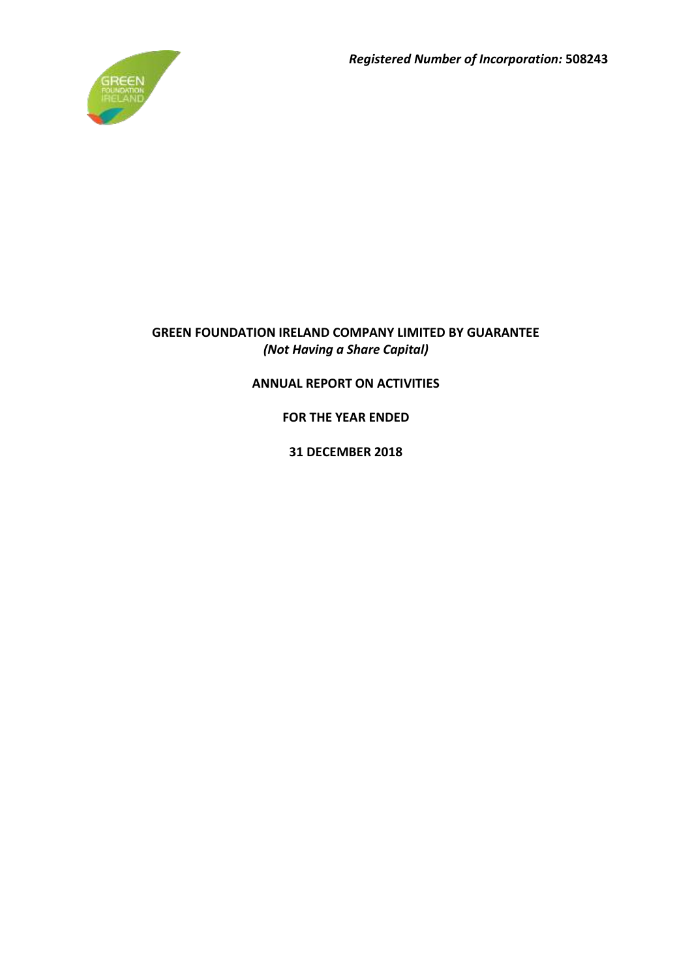*Registered Number of Incorporation:* **508243**



# **GREEN FOUNDATION IRELAND COMPANY LIMITED BY GUARANTEE** *(Not Having a Share Capital)*

# **ANNUAL REPORT ON ACTIVITIES**

**FOR THE YEAR ENDED**

**31 DECEMBER 2018**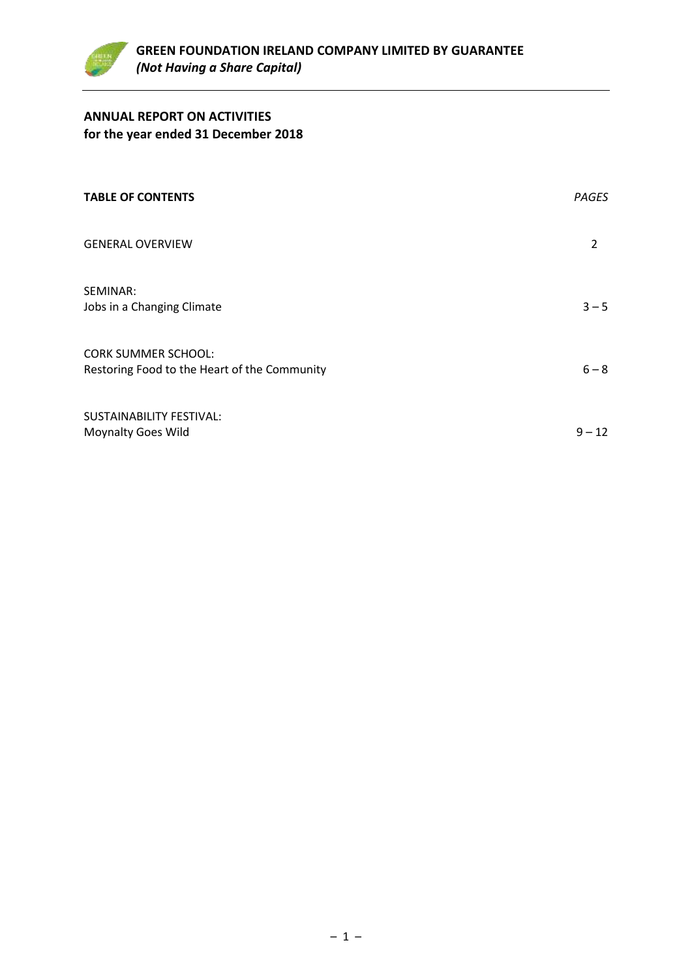

# **ANNUAL REPORT ON ACTIVITIES for the year ended 31 December 2018**

| <b>TABLE OF CONTENTS</b>                                                   | <b>PAGES</b>   |
|----------------------------------------------------------------------------|----------------|
| <b>GENERAL OVERVIEW</b>                                                    | $\overline{2}$ |
| SEMINAR:<br>Jobs in a Changing Climate                                     | $3 - 5$        |
| <b>CORK SUMMER SCHOOL:</b><br>Restoring Food to the Heart of the Community | $6 - 8$        |
| SUSTAINABILITY FESTIVAL:<br><b>Moynalty Goes Wild</b>                      | $9 - 12$       |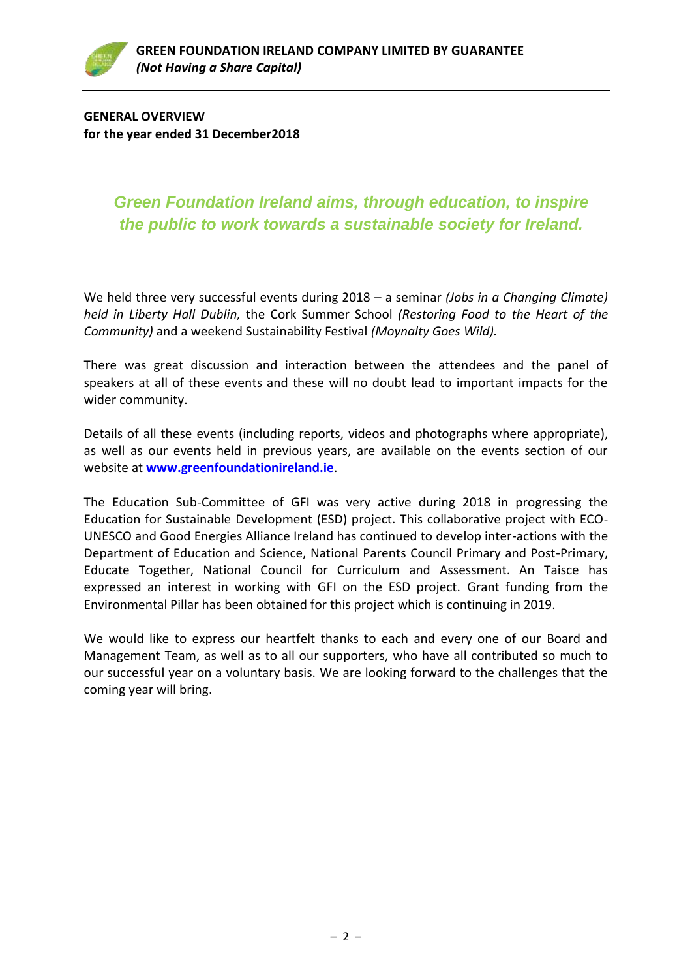**GENERAL OVERVIEW for the year ended 31 December2018**

# *Green Foundation Ireland aims, through education, to inspire the public to work towards a sustainable society for Ireland.*

We held three very successful events during 2018 – a seminar *(Jobs in a Changing Climate) held in Liberty Hall Dublin,* the Cork Summer School *(Restoring Food to the Heart of the Community)* and a weekend Sustainability Festival *(Moynalty Goes Wild).*

There was great discussion and interaction between the attendees and the panel of speakers at all of these events and these will no doubt lead to important impacts for the wider community.

Details of all these events (including reports, videos and photographs where appropriate), as well as our events held in previous years, are available on the events section of our website at **[www.greenfoundationireland.ie](http://www.greenfoundationireland.ie/)**.

The Education Sub-Committee of GFI was very active during 2018 in progressing the Education for Sustainable Development (ESD) project. This collaborative project with ECO-UNESCO and Good Energies Alliance Ireland has continued to develop inter-actions with the Department of Education and Science, National Parents Council Primary and Post-Primary, Educate Together, National Council for Curriculum and Assessment. An Taisce has expressed an interest in working with GFI on the ESD project. Grant funding from the Environmental Pillar has been obtained for this project which is continuing in 2019.

We would like to express our heartfelt thanks to each and every one of our Board and Management Team, as well as to all our supporters, who have all contributed so much to our successful year on a voluntary basis. We are looking forward to the challenges that the coming year will bring.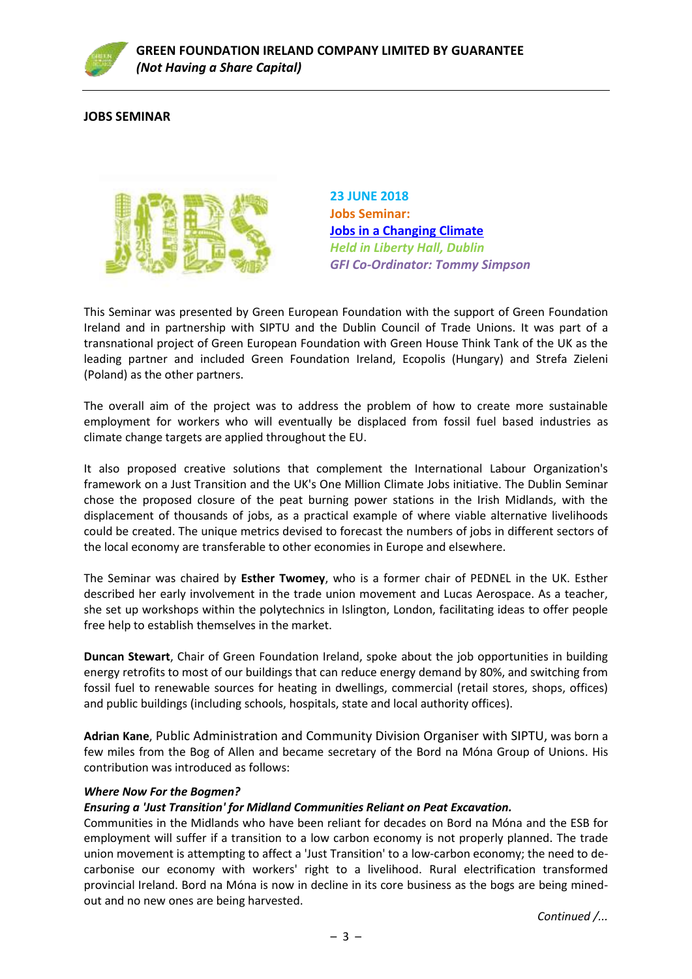

# **JOBS SEMINAR**



**23 JUNE 2018 Jobs Seminar: [Jobs in a Changing Climate](https://www.greenfoundationireland.ie/seminarjobs-in-a-changing-climate/)** *Held in Liberty Hall, Dublin GFI Co-Ordinator: Tommy Simpson*

This Seminar was presented by Green European Foundation with the support of Green Foundation Ireland and in partnership with SIPTU and the Dublin Council of Trade Unions. It was part of a transnational project of Green European Foundation with Green House Think Tank of the UK as the leading partner and included Green Foundation Ireland, Ecopolis (Hungary) and Strefa Zieleni (Poland) as the other partners.

The overall aim of the project was to address the problem of how to create more sustainable employment for workers who will eventually be displaced from fossil fuel based industries as climate change targets are applied throughout the EU.

It also proposed creative solutions that complement the International Labour Organization's framework on a Just Transition and the UK's One Million Climate Jobs initiative. The Dublin Seminar chose the proposed closure of the peat burning power stations in the Irish Midlands, with the displacement of thousands of jobs, as a practical example of where viable alternative livelihoods could be created. The unique metrics devised to forecast the numbers of jobs in different sectors of the local economy are transferable to other economies in Europe and elsewhere.

The Seminar was chaired by **Esther Twomey**, who is a former chair of PEDNEL in the UK. Esther described her early involvement in the trade union movement and Lucas Aerospace. As a teacher, she set up workshops within the polytechnics in Islington, London, facilitating ideas to offer people free help to establish themselves in the market.

**Duncan Stewart**, Chair of Green Foundation Ireland, spoke about the job opportunities in building energy retrofits to most of our buildings that can reduce energy demand by 80%, and switching from fossil fuel to renewable sources for heating in dwellings, commercial (retail stores, shops, offices) and public buildings (including schools, hospitals, state and local authority offices).

**Adrian Kane**, Public Administration and Community Division Organiser with SIPTU, was born a few miles from the Bog of Allen and became secretary of the Bord na Móna Group of Unions. His contribution was introduced as follows:

#### *Where Now For the Bogmen?*

# *Ensuring a 'Just Transition' for Midland Communities Reliant on Peat Excavation.*

Communities in the Midlands who have been reliant for decades on Bord na Móna and the ESB for employment will suffer if a transition to a low carbon economy is not properly planned. The trade union movement is attempting to affect a 'Just Transition' to a low-carbon economy; the need to decarbonise our economy with workers' right to a livelihood. Rural electrification transformed provincial Ireland. Bord na Móna is now in decline in its core business as the bogs are being minedout and no new ones are being harvested.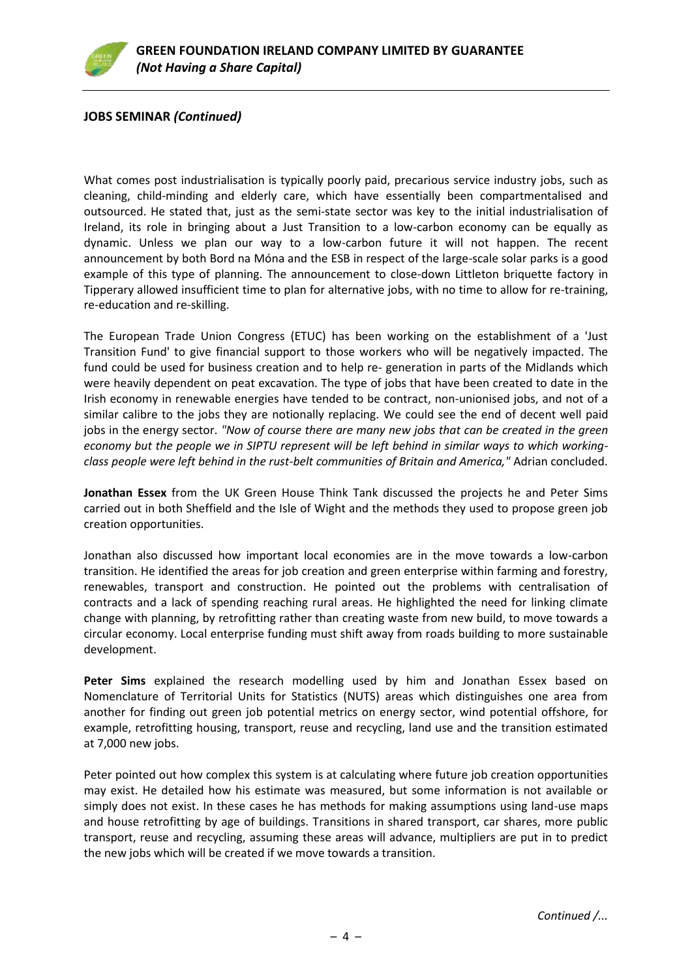# **JOBS SEMINAR** *(Continued)*

What comes post industrialisation is typically poorly paid, precarious service industry jobs, such as cleaning, child-minding and elderly care, which have essentially been compartmentalised and outsourced. He stated that, just as the semi-state sector was key to the initial industrialisation of Ireland, its role in bringing about a Just Transition to a low-carbon economy can be equally as dynamic. Unless we plan our way to a low-carbon future it will not happen. The recent announcement by both Bord na Móna and the ESB in respect of the large-scale solar parks is a good example of this type of planning. The announcement to close-down Littleton briquette factory in Tipperary allowed insufficient time to plan for alternative jobs, with no time to allow for re-training, re-education and re-skilling.

The European Trade Union Congress (ETUC) has been working on the establishment of a 'Just Transition Fund' to give financial support to those workers who will be negatively impacted. The fund could be used for business creation and to help re- generation in parts of the Midlands which were heavily dependent on peat excavation. The type of jobs that have been created to date in the Irish economy in renewable energies have tended to be contract, non-unionised jobs, and not of a similar calibre to the jobs they are notionally replacing. We could see the end of decent well paid jobs in the energy sector. *"Now of course there are many new jobs that can be created in the green economy but the people we in SIPTU represent will be left behind in similar ways to which workingclass people were left behind in the rust-belt communities of Britain and America,"* Adrian concluded.

**Jonathan Essex** from the UK Green House Think Tank discussed the projects he and Peter Sims carried out in both Sheffield and the Isle of Wight and the methods they used to propose green job creation opportunities.

Jonathan also discussed how important local economies are in the move towards a low-carbon transition. He identified the areas for job creation and green enterprise within farming and forestry, renewables, transport and construction. He pointed out the problems with centralisation of contracts and a lack of spending reaching rural areas. He highlighted the need for linking climate change with planning, by retrofitting rather than creating waste from new build, to move towards a circular economy. Local enterprise funding must shift away from roads building to more sustainable development.

**Peter Sims** explained the research modelling used by him and Jonathan Essex based on Nomenclature of Territorial Units for Statistics (NUTS) areas which distinguishes one area from another for finding out green job potential metrics on energy sector, wind potential offshore, for example, retrofitting housing, transport, reuse and recycling, land use and the transition estimated at 7,000 new jobs.

Peter pointed out how complex this system is at calculating where future job creation opportunities may exist. He detailed how his estimate was measured, but some information is not available or simply does not exist. In these cases he has methods for making assumptions using land-use maps and house retrofitting by age of buildings. Transitions in shared transport, car shares, more public transport, reuse and recycling, assuming these areas will advance, multipliers are put in to predict the new jobs which will be created if we move towards a transition.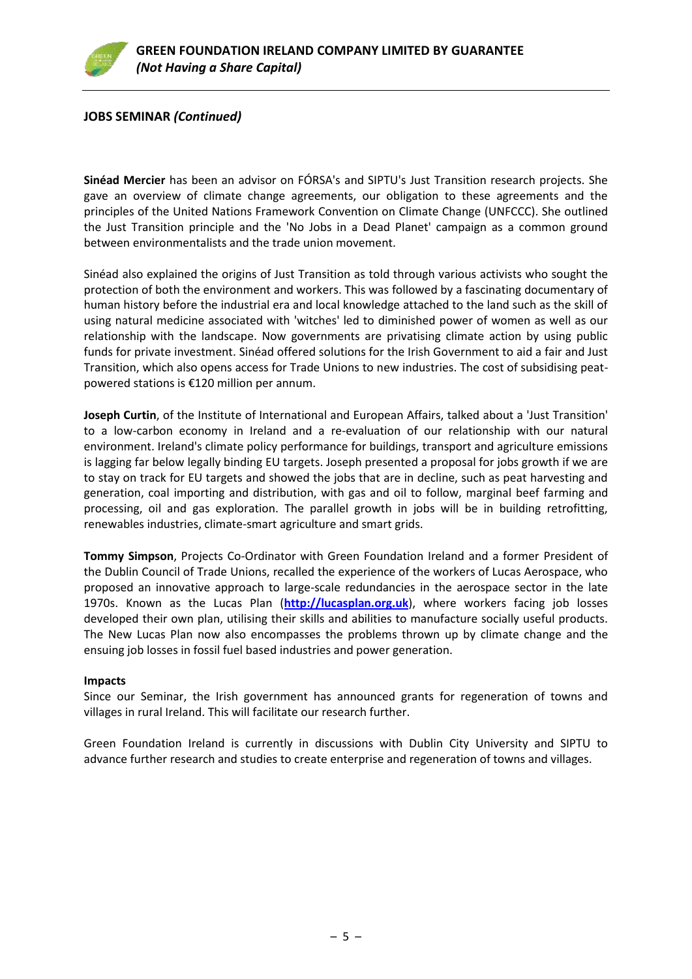

# **JOBS SEMINAR** *(Continued)*

**Sinéad Mercier** has been an advisor on FÓRSA's and SIPTU's Just Transition research projects. She gave an overview of climate change agreements, our obligation to these agreements and the principles of the United Nations Framework Convention on Climate Change (UNFCCC). She outlined the Just Transition principle and the 'No Jobs in a Dead Planet' campaign as a common ground between environmentalists and the trade union movement.

Sinéad also explained the origins of Just Transition as told through various activists who sought the protection of both the environment and workers. This was followed by a fascinating documentary of human history before the industrial era and local knowledge attached to the land such as the skill of using natural medicine associated with 'witches' led to diminished power of women as well as our relationship with the landscape. Now governments are privatising climate action by using public funds for private investment. Sinéad offered solutions for the Irish Government to aid a fair and Just Transition, which also opens access for Trade Unions to new industries. The cost of subsidising peatpowered stations is €120 million per annum.

**Joseph Curtin**, of the Institute of International and European Affairs, talked about a 'Just Transition' to a low-carbon economy in Ireland and a re-evaluation of our relationship with our natural environment. Ireland's climate policy performance for buildings, transport and agriculture emissions is lagging far below legally binding EU targets. Joseph presented a proposal for jobs growth if we are to stay on track for EU targets and showed the jobs that are in decline, such as peat harvesting and generation, coal importing and distribution, with gas and oil to follow, marginal beef farming and processing, oil and gas exploration. The parallel growth in jobs will be in building retrofitting, renewables industries, climate-smart agriculture and smart grids.

**Tommy Simpson**, Projects Co-Ordinator with Green Foundation Ireland and a former President of the Dublin Council of Trade Unions, recalled the experience of the workers of Lucas Aerospace, who proposed an innovative approach to large-scale redundancies in the aerospace sector in the late 1970s. Known as the Lucas Plan (**[http://lucasplan.org.uk](http://lucasplan.org.uk/)**), where workers facing job losses developed their own plan, utilising their skills and abilities to manufacture socially useful products. The New Lucas Plan now also encompasses the problems thrown up by climate change and the ensuing job losses in fossil fuel based industries and power generation.

#### **Impacts**

Since our Seminar, the Irish government has announced grants for regeneration of towns and villages in rural Ireland. This will facilitate our research further.

Green Foundation Ireland is currently in discussions with Dublin City University and SIPTU to advance further research and studies to create enterprise and regeneration of towns and villages.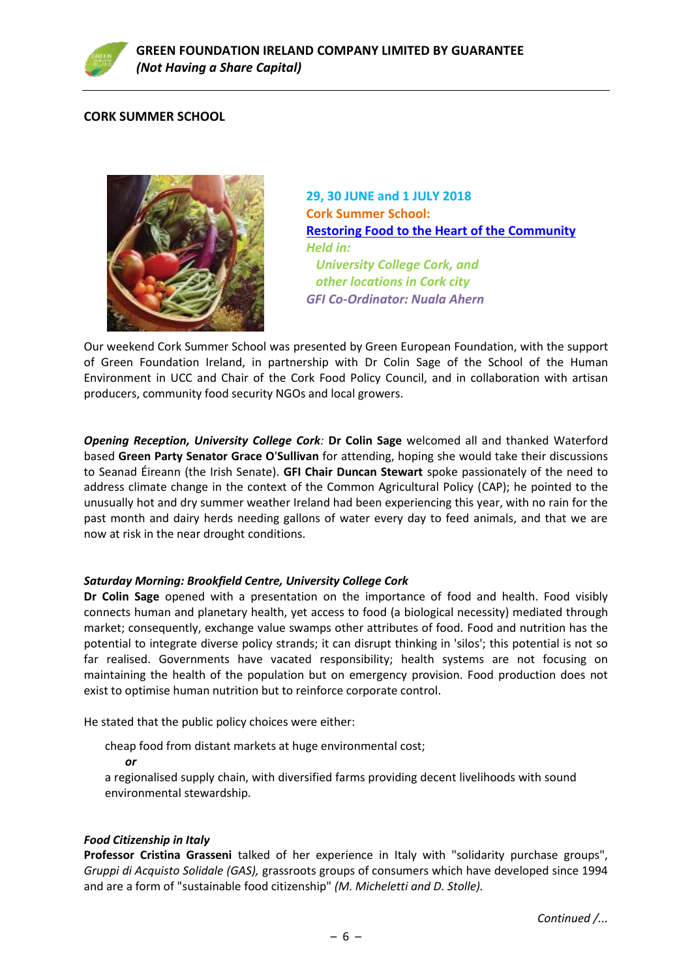

# **CORK SUMMER SCHOOL**



**29, 30 JUNE and 1 JULY 2018 Cork Summer School: [Restoring Food to the Heart of the Community](https://www.greenfoundationireland.ie/cork-summer-schoolrestoring-food-to-the-heart-of-the-community/)** *Held in: University College Cork, and other locations in Cork city GFI Co-Ordinator: Nuala Ahern*

Our weekend Cork Summer School was presented by Green European Foundation, with the support of Green Foundation Ireland, in partnership with Dr Colin Sage of the School of the Human Environment in UCC and Chair of the Cork Food Policy Council, and in collaboration with artisan producers, community food security NGOs and local growers.

*Opening Reception, University College Cork:* **Dr Colin Sage** welcomed all and thanked Waterford based **Green Party Senator Grace O**'**Sullivan** for attending, hoping she would take their discussions to Seanad Éireann (the Irish Senate). **GFI Chair Duncan Stewart** spoke passionately of the need to address climate change in the context of the Common Agricultural Policy (CAP); he pointed to the unusually hot and dry summer weather Ireland had been experiencing this year, with no rain for the past month and dairy herds needing gallons of water every day to feed animals, and that we are now at risk in the near drought conditions.

# *Saturday Morning: Brookfield Centre, University College Cork*

**Dr Colin Sage** opened with a presentation on the importance of food and health. Food visibly connects human and planetary health, yet access to food (a biological necessity) mediated through market; consequently, exchange value swamps other attributes of food. Food and nutrition has the potential to integrate diverse policy strands; it can disrupt thinking in 'silos'; this potential is not so far realised. Governments have vacated responsibility; health systems are not focusing on maintaining the health of the population but on emergency provision. Food production does not exist to optimise human nutrition but to reinforce corporate control.

He stated that the public policy choices were either:

cheap food from distant markets at huge environmental cost;

 *or*

a regionalised supply chain, with diversified farms providing decent livelihoods with sound environmental stewardship.

#### *Food Citizenship in Italy*

**Professor Cristina Grasseni** talked of her experience in Italy with "solidarity purchase groups", *Gruppi di Acquisto Solidale (GAS),* grassroots groups of consumers which have developed since 1994 and are a form of "sustainable food citizenship" *(M. Micheletti and D. Stolle).*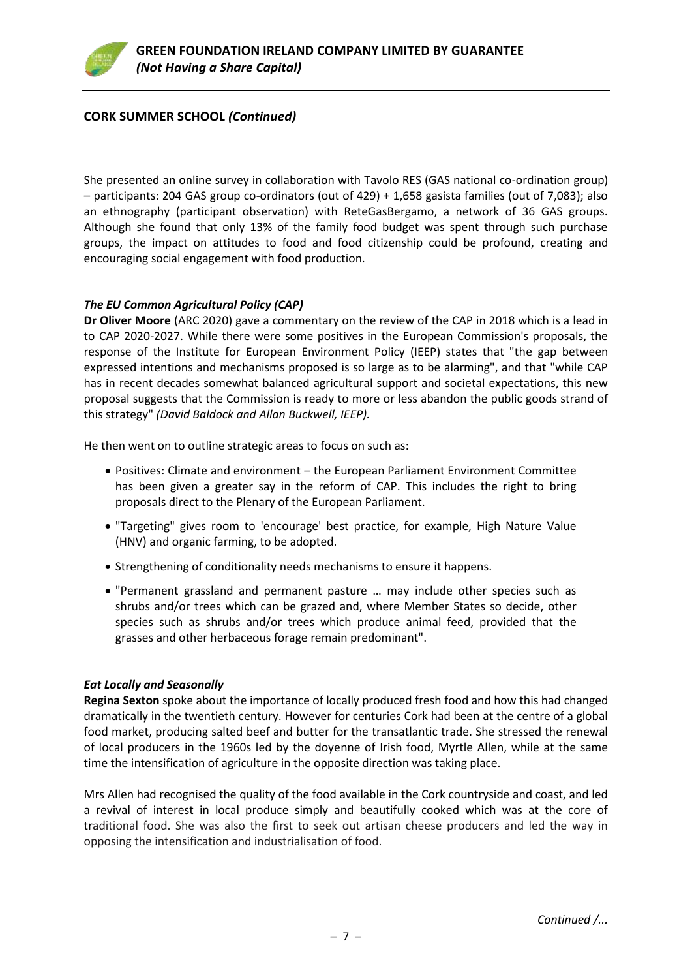# **CORK SUMMER SCHOOL** *(Continued)*

She presented an online survey in collaboration with Tavolo RES (GAS national co-ordination group) – participants: 204 GAS group co-ordinators (out of 429) + 1,658 gasista families (out of 7,083); also an ethnography (participant observation) with ReteGasBergamo, a network of 36 GAS groups. Although she found that only 13% of the family food budget was spent through such purchase groups, the impact on attitudes to food and food citizenship could be profound, creating and encouraging social engagement with food production.

#### *The EU Common Agricultural Policy (CAP)*

**Dr Oliver Moore** (ARC 2020) gave a commentary on the review of the CAP in 2018 which is a lead in to CAP 2020-2027. While there were some positives in the European Commission's proposals, the response of the Institute for European Environment Policy (IEEP) states that "the gap between expressed intentions and mechanisms proposed is so large as to be alarming", and that "while CAP has in recent decades somewhat balanced agricultural support and societal expectations, this new proposal suggests that the Commission is ready to more or less abandon the public goods strand of this strategy" *(David Baldock and Allan Buckwell, IEEP).*

He then went on to outline strategic areas to focus on such as:

- Positives: Climate and environment the European Parliament Environment Committee has been given a greater say in the reform of CAP. This includes the right to bring proposals direct to the Plenary of the European Parliament.
- "Targeting" gives room to 'encourage' best practice, for example, High Nature Value (HNV) and organic farming, to be adopted.
- Strengthening of conditionality needs mechanisms to ensure it happens.
- "Permanent grassland and permanent pasture … may include other species such as shrubs and/or trees which can be grazed and, where Member States so decide, other species such as shrubs and/or trees which produce animal feed, provided that the grasses and other herbaceous forage remain predominant".

#### *Eat Locally and Seasonally*

**Regina Sexton** spoke about the importance of locally produced fresh food and how this had changed dramatically in the twentieth century. However for centuries Cork had been at the centre of a global food market, producing salted beef and butter for the transatlantic trade. She stressed the renewal of local producers in the 1960s led by the doyenne of Irish food, Myrtle Allen, while at the same time the intensification of agriculture in the opposite direction was taking place.

Mrs Allen had recognised the quality of the food available in the Cork countryside and coast, and led a revival of interest in local produce simply and beautifully cooked which was at the core of traditional food. She was also the first to seek out artisan cheese producers and led the way in opposing the intensification and industrialisation of food.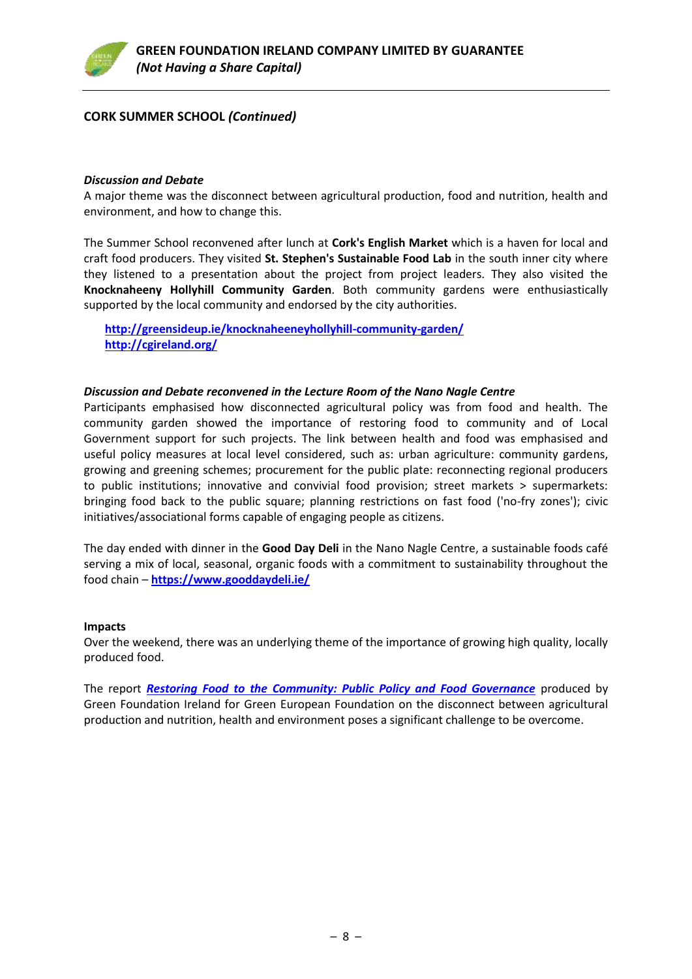

# **CORK SUMMER SCHOOL** *(Continued)*

#### *Discussion and Debate*

A major theme was the disconnect between agricultural production, food and nutrition, health and environment, and how to change this.

The Summer School reconvened after lunch at **Cork's English Market** which is a haven for local and craft food producers. They visited **St. Stephen's Sustainable Food Lab** in the south inner city where they listened to a presentation about the project from project leaders. They also visited the **Knocknaheeny Hollyhill Community Garden**. Both community gardens were enthusiastically supported by the local community and endorsed by the city authorities.

**<http://greensideup.ie/knocknaheeneyhollyhill-community-garden/> <http://cgireland.org/>**

#### *Discussion and Debate reconvened in the Lecture Room of the Nano Nagle Centre*

Participants emphasised how disconnected agricultural policy was from food and health. The community garden showed the importance of restoring food to community and of Local Government support for such projects. The link between health and food was emphasised and useful policy measures at local level considered, such as: urban agriculture: community gardens, growing and greening schemes; procurement for the public plate: reconnecting regional producers to public institutions; innovative and convivial food provision; street markets > supermarkets: bringing food back to the public square; planning restrictions on fast food ('no-fry zones'); civic initiatives/associational forms capable of engaging people as citizens.

The day ended with dinner in the **Good Day Deli** in the Nano Nagle Centre, a sustainable foods café serving a mix of local, seasonal, organic foods with a commitment to sustainability throughout the food chain – **<https://www.gooddaydeli.ie/>**

#### **Impacts**

Over the weekend, there was an underlying theme of the importance of growing high quality, locally produced food.

The report *Restoring [Food to the Community: Public Policy and Food Governance](https://www.greenfoundationireland.ie/restoring-food-to-the-communitypublic-policy-and-food-governance-by-colin-sage/)* produced by Green Foundation Ireland for Green European Foundation on the disconnect between agricultural production and nutrition, health and environment poses a significant challenge to be overcome.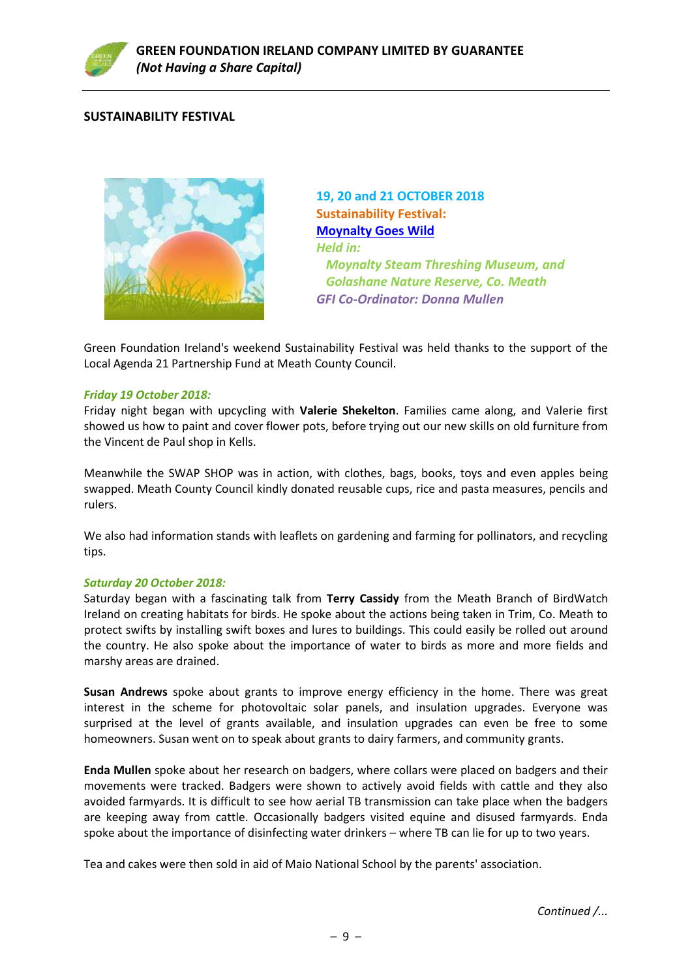

# **SUSTAINABILITY FESTIVAL**



**19, 20 and 21 OCTOBER 2018 Sustainability Festival: [Moynalty Goes Wild](https://www.greenfoundationireland.ie/sustainability-festivalmoynalty-goes-wild19-20-and-21-oct-2018/)** *Held in: Moynalty Steam Threshing Museum, and Golashane Nature Reserve, Co. Meath GFI Co-Ordinator: Donna Mullen*

Green Foundation Ireland's weekend Sustainability Festival was held thanks to the support of the Local Agenda 21 Partnership Fund at Meath County Council.

#### *Friday 19 October 2018:*

Friday night began with upcycling with **Valerie Shekelton**. Families came along, and Valerie first showed us how to paint and cover flower pots, before trying out our new skills on old furniture from the Vincent de Paul shop in Kells.

Meanwhile the SWAP SHOP was in action, with clothes, bags, books, toys and even apples being swapped. Meath County Council kindly donated reusable cups, rice and pasta measures, pencils and rulers.

We also had information stands with leaflets on gardening and farming for pollinators, and recycling tips.

#### *Saturday 20 October 2018:*

Saturday began with a fascinating talk from **Terry Cassidy** from the Meath Branch of BirdWatch Ireland on creating habitats for birds. He spoke about the actions being taken in Trim, Co. Meath to protect swifts by installing swift boxes and lures to buildings. This could easily be rolled out around the country. He also spoke about the importance of water to birds as more and more fields and marshy areas are drained.

**Susan Andrews** spoke about grants to improve energy efficiency in the home. There was great interest in the scheme for photovoltaic solar panels, and insulation upgrades. Everyone was surprised at the level of grants available, and insulation upgrades can even be free to some homeowners. Susan went on to speak about grants to dairy farmers, and community grants.

**Enda Mullen** spoke about her research on badgers, where collars were placed on badgers and their movements were tracked. Badgers were shown to actively avoid fields with cattle and they also avoided farmyards. It is difficult to see how aerial TB transmission can take place when the badgers are keeping away from cattle. Occasionally badgers visited equine and disused farmyards. Enda spoke about the importance of disinfecting water drinkers – where TB can lie for up to two years.

Tea and cakes were then sold in aid of Maio National School by the parents' association.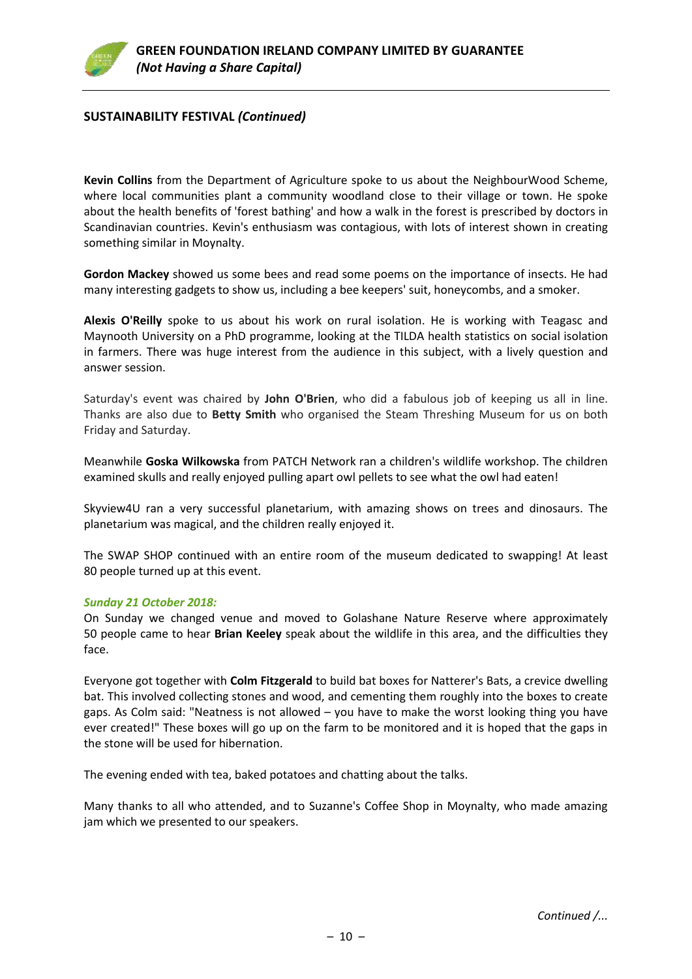

# **SUSTAINABILITY FESTIVAL** *(Continued)*

**Kevin Collins** from the Department of Agriculture spoke to us about the NeighbourWood Scheme, where local communities plant a community woodland close to their village or town. He spoke about the health benefits of 'forest bathing' and how a walk in the forest is prescribed by doctors in Scandinavian countries. Kevin's enthusiasm was contagious, with lots of interest shown in creating something similar in Moynalty.

**Gordon Mackey** showed us some bees and read some poems on the importance of insects. He had many interesting gadgets to show us, including a bee keepers' suit, honeycombs, and a smoker.

**Alexis O'Reilly** spoke to us about his work on rural isolation. He is working with Teagasc and Maynooth University on a PhD programme, looking at the TILDA health statistics on social isolation in farmers. There was huge interest from the audience in this subject, with a lively question and answer session.

Saturday's event was chaired by **John O'Brien**, who did a fabulous job of keeping us all in line. Thanks are also due to **Betty Smith** who organised the Steam Threshing Museum for us on both Friday and Saturday.

Meanwhile **Goska Wilkowska** from PATCH Network ran a children's wildlife workshop. The children examined skulls and really enjoyed pulling apart owl pellets to see what the owl had eaten!

Skyview4U ran a very successful planetarium, with amazing shows on trees and dinosaurs. The planetarium was magical, and the children really enjoyed it.

The SWAP SHOP continued with an entire room of the museum dedicated to swapping! At least 80 people turned up at this event.

#### *Sunday 21 October 2018:*

On Sunday we changed venue and moved to Golashane Nature Reserve where approximately 50 people came to hear **Brian Keeley** speak about the wildlife in this area, and the difficulties they face.

Everyone got together with **Colm Fitzgerald** to build bat boxes for Natterer's Bats, a crevice dwelling bat. This involved collecting stones and wood, and cementing them roughly into the boxes to create gaps. As Colm said: "Neatness is not allowed – you have to make the worst looking thing you have ever created!" These boxes will go up on the farm to be monitored and it is hoped that the gaps in the stone will be used for hibernation.

The evening ended with tea, baked potatoes and chatting about the talks.

Many thanks to all who attended, and to Suzanne's Coffee Shop in Moynalty, who made amazing jam which we presented to our speakers.